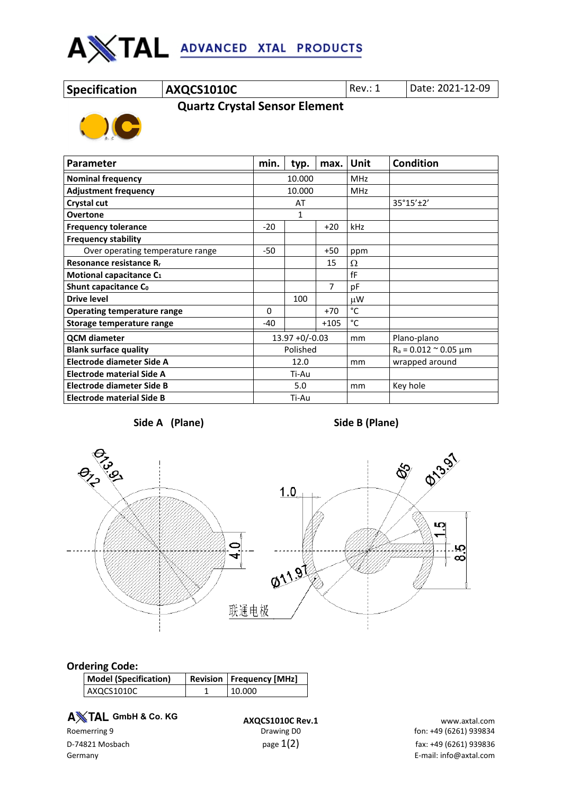

**Specification AXQCS1010C** Rev.: 1 Date: 2021-12-09

 **Quartz Crystal Sensor Element**



| <b>Parameter</b>                    | min.              | typ. | max.           | Unit                             | <b>Condition</b> |
|-------------------------------------|-------------------|------|----------------|----------------------------------|------------------|
| <b>Nominal frequency</b>            | 10.000            |      | <b>MHz</b>     |                                  |                  |
| <b>Adjustment frequency</b>         | 10.000            |      | <b>MHz</b>     |                                  |                  |
| Crystal cut                         | AT                |      |                | 35°15'±2'                        |                  |
| <b>Overtone</b>                     | 1                 |      |                |                                  |                  |
| <b>Frequency tolerance</b>          |                   |      | $+20$          | kHz                              |                  |
| <b>Frequency stability</b>          |                   |      |                |                                  |                  |
| Over operating temperature range    | $-50$             |      | $+50$          | ppm                              |                  |
| Resonance resistance R <sub>r</sub> |                   |      | 15             | Ω                                |                  |
| Motional capacitance C <sub>1</sub> |                   |      |                | fF                               |                  |
| Shunt capacitance Co                |                   |      | $\overline{7}$ | рF                               |                  |
| <b>Drive level</b>                  |                   | 100  |                | μW                               |                  |
| <b>Operating temperature range</b>  |                   |      | $+70$          | °C                               |                  |
| Storage temperature range           | -40               |      | $+105$         | °C                               |                  |
| <b>QCM</b> diameter                 | $13.97 + 0/-0.03$ |      | mm             | Plano-plano                      |                  |
| <b>Blank surface quality</b>        | Polished          |      |                | $R_a = 0.012 \approx 0.05 \mu m$ |                  |
| Electrode diameter Side A           | 12.0              |      | mm             | wrapped around                   |                  |
| <b>Electrode material Side A</b>    | Ti-Au             |      |                |                                  |                  |
| Electrode diameter Side B           | 5.0               |      | mm             | Key hole                         |                  |
| <b>Electrode material Side B</b>    | Ti-Au             |      |                |                                  |                  |

**Side A (Plane) Side B (Plane)**



## **Ordering Code:**

| <b>Model (Specification)</b> | <b>Revision   Frequency [MHz]</b> |  |  |
|------------------------------|-----------------------------------|--|--|
| AXOCS1010C                   | 10.000                            |  |  |

**A** $X$ TAL GmbH & Co. KG

**A TAL GmbH & Co. KG**<br>**AXQCS1010C Rev.1** www.axtal.com www.axtal.com<br>fon: +49 (6261) 939834 fon: +49 (6261)

fon: +49 (6261) 939834 D-74821 Mosbach  $p$ age  $1(2)$   $p$ age  $1(2)$  fax: +49 (6261) 939836 Germany E-mail: info@axtal.com